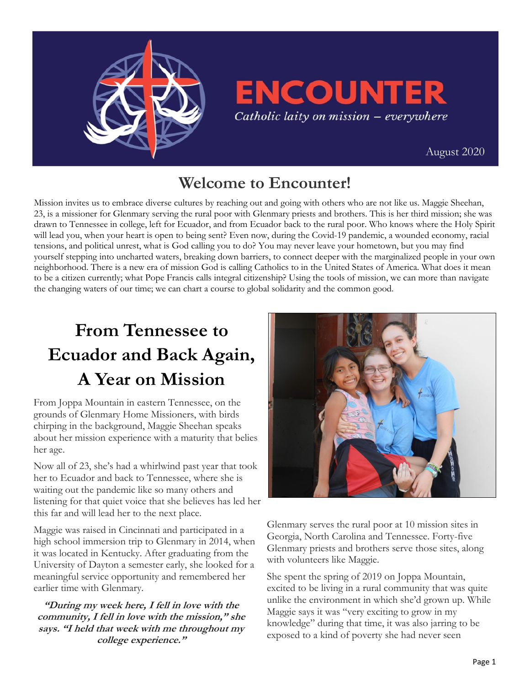

# **ENCOUNTER** Catholic laity on mission - everywhere

[August 2020](https://uscatholicmission.org/encounter)

## **Welcome to Encounter!**

Mission invites us to embrace diverse cultures by reaching out and going with others who are not like us. Maggie Sheehan, 23, is a missioner for Glenmary serving the rural poor with Glenmary priests and brothers. This is her third mission; she was drawn to Tennessee in college, left for Ecuador, and from Ecuador back to the rural poor. Who knows where the Holy Spirit will lead you, when your heart is open to being sent? Even now, during the Covid-19 pandemic, a wounded economy, racial tensions, and political unrest, what is God calling you to do? You may never leave your hometown, but you may find yourself stepping into uncharted waters, breaking down barriers, to connect deeper with the marginalized people in your own neighborhood. There is a new era of mission God is calling Catholics to in the United States of America. What does it mean to be a citizen currently; what Pope Francis calls integral citizenship? Using the tools of mission, we can more than navigate the changing waters of our time; we can chart a course to global solidarity and the common good.

# **From Tennessee to Ecuador and Back Again, A Year on Mission**

From Joppa Mountain in eastern Tennessee, on the grounds of Glenmary Home Missioners, with birds chirping in the background, Maggie Sheehan speaks about her mission experience with a maturity that belies her age.

Now all of 23, she's had a whirlwind past year that took her to Ecuador and back to Tennessee, where she is waiting out the pandemic like so many others and listening for that quiet voice that she believes has led her this far and will lead her to the next place.

Maggie was raised in Cincinnati and participated in a high school immersion trip to Glenmary in 2014, when it was located in Kentucky. After graduating from the University of Dayton a semester early, she looked for a meaningful service opportunity and remembered her earlier time with Glenmary.

**"During my week here, I fell in love with the community, I fell in love with the mission," she says. "I held that week with me throughout my college experience."**



Glenmary serves the rural poor at 10 mission sites in Georgia, North Carolina and Tennessee. Forty-five Glenmary priests and brothers serve those sites, along with volunteers like Maggie.

She spent the spring of 2019 on Joppa Mountain, excited to be living in a rural community that was quite unlike the environment in which she'd grown up. While Maggie says it was "very exciting to grow in my knowledge" during that time, it was also jarring to be exposed to a kind of poverty she had never seen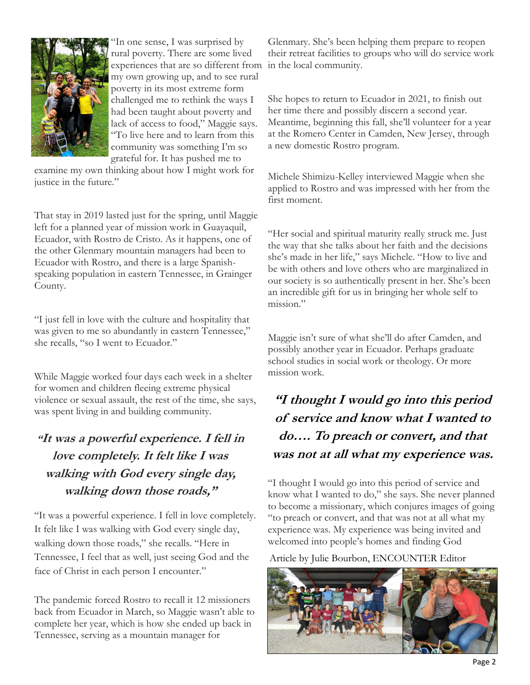

"In one sense, I was surprised by rural poverty. There are some lived experiences that are so different from my own growing up, and to see rural poverty in its most extreme form challenged me to rethink the ways I had been taught about poverty and lack of access to food," Maggie says. "To live here and to learn from this community was something I'm so grateful for. It has pushed me to

examine my own thinking about how I might work for justice in the future."

That stay in 2019 lasted just for the spring, until Maggie left for a planned year of mission work in Guayaquil, Ecuador, with Rostro de Cristo. As it happens, one of the other Glenmary mountain managers had been to Ecuador with Rostro, and there is a large Spanishspeaking population in eastern Tennessee, in Grainger County.

"I just fell in love with the culture and hospitality that was given to me so abundantly in eastern Tennessee," she recalls, "so I went to Ecuador."

While Maggie worked four days each week in a shelter for women and children fleeing extreme physical violence or sexual assault, the rest of the time, she says, was spent living in and building community.

#### **"It was a powerful experience. I fell in love completely. It felt like I was walking with God every single day, walking down those roads,"**

"It was a powerful experience. I fell in love completely. It felt like I was walking with God every single day, walking down those roads," she recalls. "Here in Tennessee, I feel that as well, just seeing God and the face of Christ in each person I encounter."

The pandemic forced Rostro to recall it 12 missioners back from Ecuador in March, so Maggie wasn't able to complete her year, which is how she ended up back in Tennessee, serving as a mountain manager for

Glenmary. She's been helping them prepare to reopen their retreat facilities to groups who will do service work in the local community.

She hopes to return to Ecuador in 2021, to finish out her time there and possibly discern a second year. Meantime, beginning this fall, she'll volunteer for a year at the Romero Center in Camden, New Jersey, through a new domestic Rostro program.

Michele Shimizu-Kelley interviewed Maggie when she applied to Rostro and was impressed with her from the first moment.

"Her social and spiritual maturity really struck me. Just the way that she talks about her faith and the decisions she's made in her life," says Michele. "How to live and be with others and love others who are marginalized in our society is so authentically present in her. She's been an incredible gift for us in bringing her whole self to mission."

Maggie isn't sure of what she'll do after Camden, and possibly another year in Ecuador. Perhaps graduate school studies in social work or theology. Or more mission work.

**"I thought I would go into this period of service and know what I wanted to do…. To preach or convert, and that was not at all what my experience was.**

"I thought I would go into this period of service and know what I wanted to do," she says. She never planned to become a missionary, which conjures images of going "to preach or convert, and that was not at all what my experience was. My experience was being invited and welcomed into people's homes and finding God

Article by Julie Bourbon, ENCOUNTER Editor

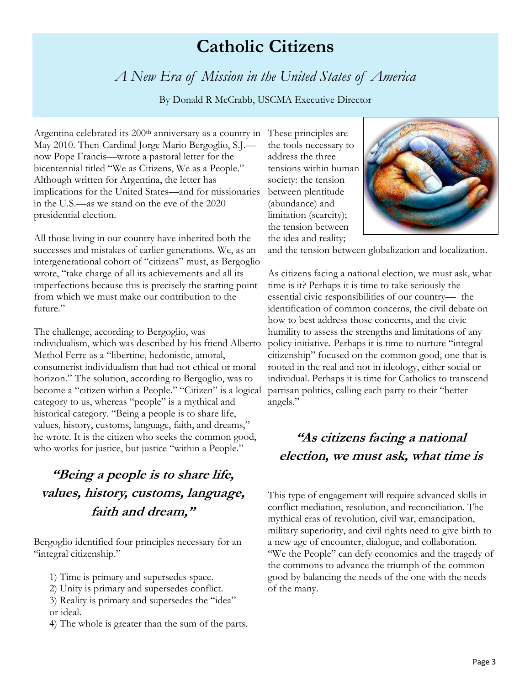## **Catholic Citizens**

### *A New Era of Mission in the United States of America*

By Donald R McCrabb, USCMA Executive Director

Argentina celebrated its 200<sup>th</sup> anniversary as a country in These principles are May 2010. Then-Cardinal Jorge Mario Bergoglio, S.J. now Pope Francis—wrote a pastoral letter for the bicentennial titled "We as Citizens, We as a People." Although written for Argentina, the letter has implications for the United States—and for missionaries in the U.S.—as we stand on the eve of the 2020 presidential election.

All those living in our country have inherited both the successes and mistakes of earlier generations. We, as an intergenerational cohort of "citizens" must, as Bergoglio wrote, "take charge of all its achievements and all its imperfections because this is precisely the starting point from which we must make our contribution to the future."

The challenge, according to Bergoglio, was individualism, which was described by his friend Alberto Methol Ferre as a "libertine, hedonistic, amoral, consumerist individualism that had not ethical or moral horizon." The solution, according to Bergoglio, was to become a "citizen within a People." "Citizen" is a logical category to us, whereas "people" is a mythical and historical category. "Being a people is to share life, values, history, customs, language, faith, and dreams," he wrote. It is the citizen who seeks the common good, who works for justice, but justice "within a People."

#### **"Being a people is to share life, values, history, customs, language, faith and dream,"**

Bergoglio identified four principles necessary for an "integral citizenship."

- 1) Time is primary and supersedes space.
- 2) Unity is primary and supersedes conflict.
- 3) Reality is primary and supersedes the "idea" or ideal.
- 4) The whole is greater than the sum of the parts.

the tools necessary to address the three tensions within human society: the tension between plentitude (abundance) and limitation (scarcity); the tension between the idea and reality;



and the tension between globalization and localization.

As citizens facing a national election, we must ask, what time is it? Perhaps it is time to take seriously the essential civic responsibilities of our country— the identification of common concerns, the civil debate on how to best address those concerns, and the civic humility to assess the strengths and limitations of any policy initiative. Perhaps it is time to nurture "integral citizenship" focused on the common good, one that is rooted in the real and not in ideology, either social or individual. Perhaps it is time for Catholics to transcend partisan politics, calling each party to their "better angels."

### **"As citizens facing a national election, we must ask, what time is**

This type of engagement will require advanced skills in conflict mediation, resolution, and reconciliation. The mythical eras of revolution, civil war, emancipation, military superiority, and civil rights need to give birth to a new age of encounter, dialogue, and collaboration. "We the People" can defy economics and the tragedy of the commons to advance the triumph of the common good by balancing the needs of the one with the needs of the many.